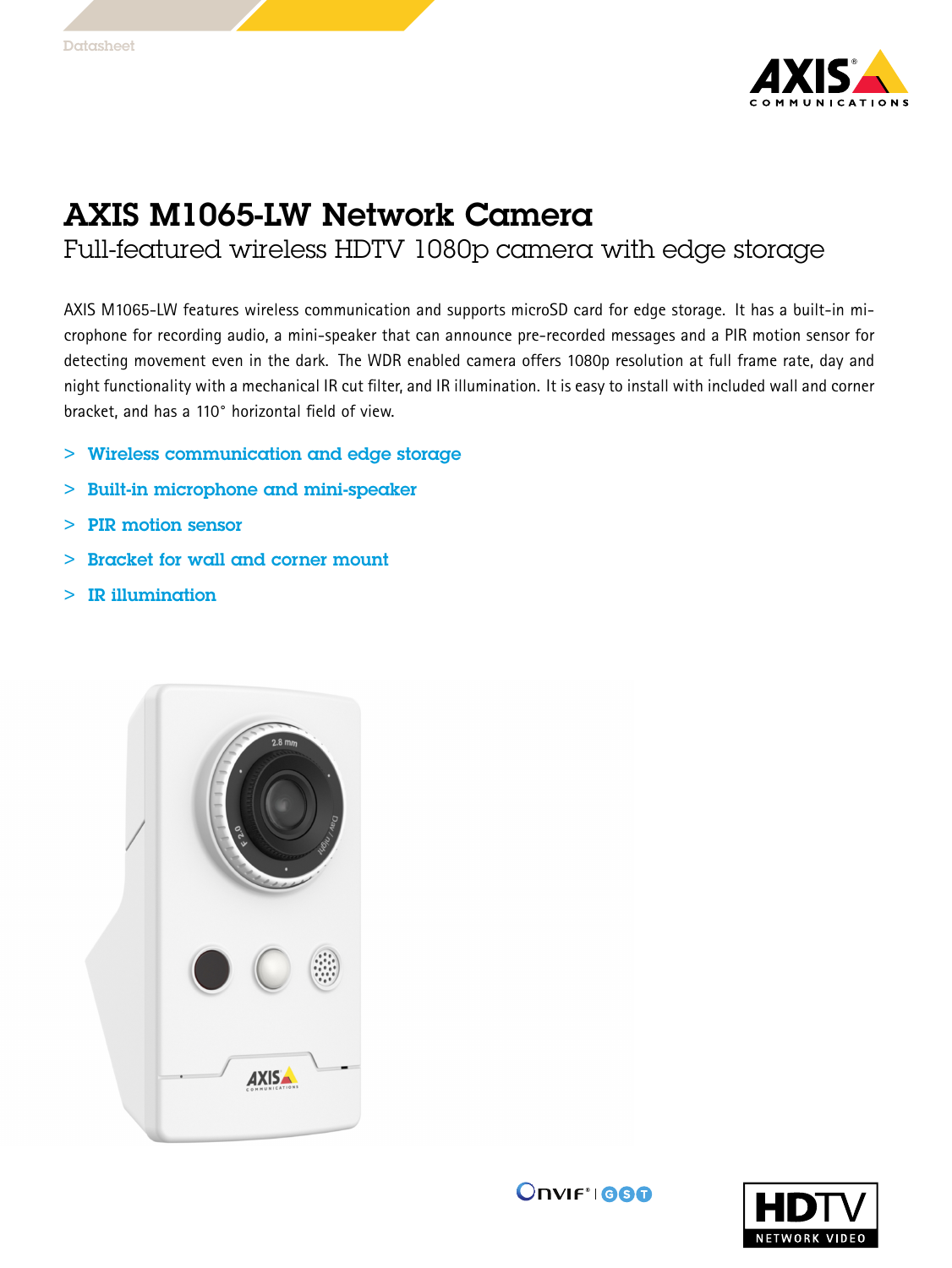

## AXIS M1065-LW Network Camera

Full-featured wireless HDTV 1080p camera with edge storage

AXIS M1065-LW features wireless communication and supports microSD card for edge storage. It has <sup>a</sup> built-in microphone for recording audio, <sup>a</sup> mini-speaker that can announce pre-recorded messages and <sup>a</sup> PIR motion sensor for detecting movement even in the dark. The WDR enabled camera offers 1080p resolution at full frame rate, day and night functionality with <sup>a</sup> mechanical IR cut filter, and IR illumination. It is easy to install with included wall and corner bracket, and has <sup>a</sup> 110° horizontal field of view.

- > Wireless communication and edge storage
- > Built-in microphone and mini-speaker
- > PIR motion sensor
	- >Bracket for wall and corner mount
- > IR illumination



**Onviftigge**